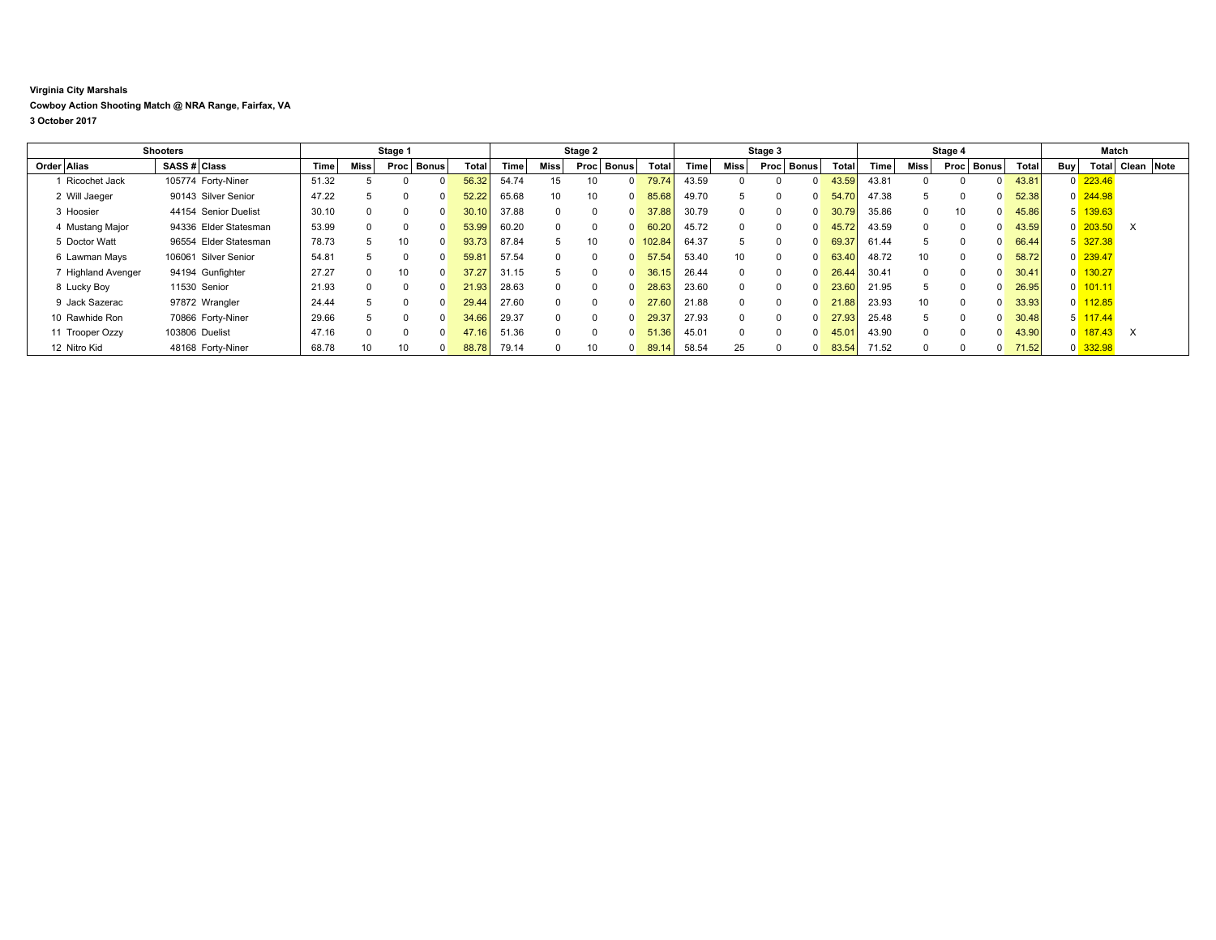## **Virginia City Marshals Cowboy Action Shooting Match @ NRA Range, Fairfax, VA 3 October 2017**

|                    | <b>Shooters</b>       |       |             | Stage 1  |              |       |             |          | Stage 2  |              |        |       |                 | Stage 3              |                   |       |      | Stage 4              |       |     | Match                 |            |  |
|--------------------|-----------------------|-------|-------------|----------|--------------|-------|-------------|----------|----------|--------------|--------|-------|-----------------|----------------------|-------------------|-------|------|----------------------|-------|-----|-----------------------|------------|--|
| Order Alias        | SASS # Class          | Time  | <b>Miss</b> | Procl    | <b>Bonus</b> | Total | <b>Time</b> | Miss     | Proc     | <b>Bonus</b> | Total  | Time  | <b>Miss</b>     | <b>Bonus</b><br>Proc | Total             | Time  | Miss | <b>Bonus</b><br>Proc | Total | Buy | Total                 | Clean Note |  |
| Ricochet Jack      | 105774 Forty-Niner    | 51.32 |             |          |              | 56.32 | 54.74       | 15       | 10       |              | 79.74  | 43.59 | $\Omega$        |                      | 43.59             | 43.81 |      |                      | 43.81 |     | $0$ 223.46            |            |  |
| 2 Will Jaeger      | 90143 Silver Senior   | 47.22 | 5           | $\Omega$ |              | 52.22 | 65.68       | 10       | 10       |              | 85.68  | 49.70 | 5               | <sup>0</sup>         | 54.70             | 47.38 |      |                      | 52.38 |     | $0\overline{244.98}$  |            |  |
| 3 Hoosier          | 44154 Senior Duelist  | 30.10 | $\Omega$    | $\Omega$ |              |       | 37.88       | $\Omega$ |          |              | 37.88  | 30.79 | $\Omega$        | $\Omega$             | 30.79             | 35.86 |      | 10                   | 45.86 |     | 5 139.63              |            |  |
| 4 Mustang Major    | 94336 Elder Statesman | 53.99 | $\Omega$    | $\Omega$ |              | 53.99 | 60.20       | $\Omega$ | $\Omega$ |              | 60.20  | 45.72 | $\Omega$        | $\Omega$             | 45.72             | 43.59 |      | $\Omega$             | 43.59 |     | $0\overline{203.50}$  | $\times$   |  |
| 5 Doctor Watt      | 96554 Elder Statesman | 78.73 |             | 10       |              | 93.73 | 87.84       | 5        | 10       |              | 102.84 | 64.37 |                 | $\Omega$             | 69.37             | 61.44 |      |                      | 66.44 |     | 5 327.38              |            |  |
| 6 Lawman Mays      | 106061 Silver Senior  | 54.81 |             | $\Omega$ |              | 59.81 | 57.54       |          |          |              | 57.54  | 53.40 | 10 <sup>1</sup> | $\Omega$             | 63.40<br>$\Omega$ | 48.72 | 10   | $\Omega$             | 58.72 |     | $0$ 239.47            |            |  |
| 7 Highland Avenger | 94194 Gunfighter      | 27.27 | $\Omega$    | 10       | $\Omega$     | 37.27 | 31.15       | 5        |          |              | 36.15  | 26.44 | $\Omega$        | $\Omega$             | 26.44             | 30.41 |      | $\Omega$             | 30.41 |     | $0$ 130.27            |            |  |
| 8 Lucky Boy        | 11530 Senior          | 21.93 | $\Omega$    | $\Omega$ |              | 21.93 | 28.63       |          |          |              | 28.63  | 23.60 | $\Omega$        | $\Omega$             | 23.60             | 21.95 |      |                      | 26.95 |     | $0$ 101.11            |            |  |
| 9 Jack Sazerac     | 97872 Wrangler        | 24.44 | 5           | $\Omega$ |              | 29.44 | 27.60       | $\Omega$ |          |              | 27.60  | 21.88 | $\Omega$        | $\Omega$             | 21.88             | 23.93 | 10   | $\Omega$             | 33.93 |     | $0$ 112.85            |            |  |
| 10 Rawhide Ron     | 70866 Forty-Niner     | 29.66 | 5           | $\Omega$ | $\Omega$     | 34.66 | 29.37       | $\Omega$ |          |              | 29.37  | 27.93 | $\Omega$        | $\Omega$             | 27.93<br>$\Omega$ | 25.48 |      | $\Omega$             | 30.48 |     | $5 \overline{117.44}$ |            |  |
| 11 Trooper Ozzy    | 103806 Duelist        | 47.16 | $\Omega$    | $\Omega$ |              | 47.16 | 51.36       |          | $\Omega$ |              | 51.36  | 45.01 | $\Omega$        | $\Omega$             | 45.01             | 43.90 |      | $\Omega$             | 43.90 | 0   | 187.43                | $\times$   |  |
| 12 Nitro Kid       | 48168 Forty-Niner     | 68.78 | 10          | 10       | $\Omega$     | 88.78 | 79.14       | $\Omega$ | 10       |              | 89.14  | 58.54 | 25              | $\Omega$             | 83.54<br>$\Omega$ | 71.52 |      |                      | 71.52 |     | $0$ 332.98            |            |  |